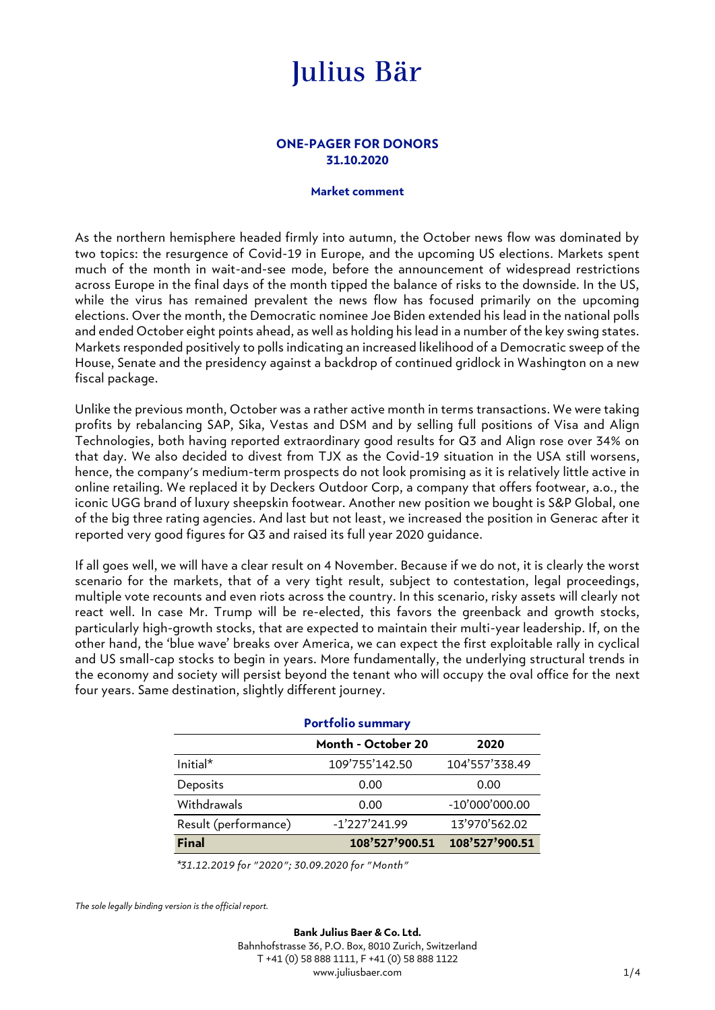### **ONE-PAGER FOR DONORS 31.10.2020**

#### **Market comment**

As the northern hemisphere headed firmly into autumn, the October news flow was dominated by two topics: the resurgence of Covid-19 in Europe, and the upcoming US elections. Markets spent much of the month in wait-and-see mode, before the announcement of widespread restrictions across Europe in the final days of the month tipped the balance of risks to the downside. In the US, while the virus has remained prevalent the news flow has focused primarily on the upcoming elections. Over the month, the Democratic nominee Joe Biden extended his lead in the national polls and ended October eight points ahead, as well as holding his lead in a number of the key swing states. Markets responded positively to polls indicating an increased likelihood of a Democratic sweep of the House, Senate and the presidency against a backdrop of continued gridlock in Washington on a new fiscal package.

Unlike the previous month, October was a rather active month in terms transactions. We were taking profits by rebalancing SAP, Sika, Vestas and DSM and by selling full positions of Visa and Align Technologies, both having reported extraordinary good results for Q3 and Align rose over 34% on that day. We also decided to divest from TJX as the Covid-19 situation in the USA still worsens, hence, the company's medium-term prospects do not look promising as it is relatively little active in online retailing. We replaced it by Deckers Outdoor Corp, a company that offers footwear, a.o., the iconic UGG brand of luxury sheepskin footwear. Another new position we bought is S&P Global, one of the big three rating agencies. And last but not least, we increased the position in Generac after it reported very good figures for Q3 and raised its full year 2020 guidance.

If all goes well, we will have a clear result on 4 November. Because if we do not, it is clearly the worst scenario for the markets, that of a very tight result, subject to contestation, legal proceedings, multiple vote recounts and even riots across the country. In this scenario, risky assets will clearly not react well. In case Mr. Trump will be re-elected, this favors the greenback and growth stocks, particularly high-growth stocks, that are expected to maintain their multi-year leadership. If, on the other hand, the 'blue wave' breaks over America, we can expect the first exploitable rally in cyclical and US small-cap stocks to begin in years. More fundamentally, the underlying structural trends in the economy and society will persist beyond the tenant who will occupy the oval office for the next four years. Same destination, slightly different journey.

| <b>Portfolio summary</b> |                    |                |  |  |
|--------------------------|--------------------|----------------|--|--|
|                          | Month - October 20 | 2020           |  |  |
| Initial*                 | 109'755'142.50     | 104'557'338.49 |  |  |
| Deposits                 | 0.00               | 0.00           |  |  |
| Withdrawals              | 0.00               | -10'000'000.00 |  |  |
| Result (performance)     | $-1'227'241.99$    | 13'970'562.02  |  |  |
| <b>Final</b>             | 108'527'900.51     | 108'527'900.51 |  |  |

*\*31.12.2019 for "2020"; 30.09.2020 for "Month"*

*The sole legally binding version is the official report.*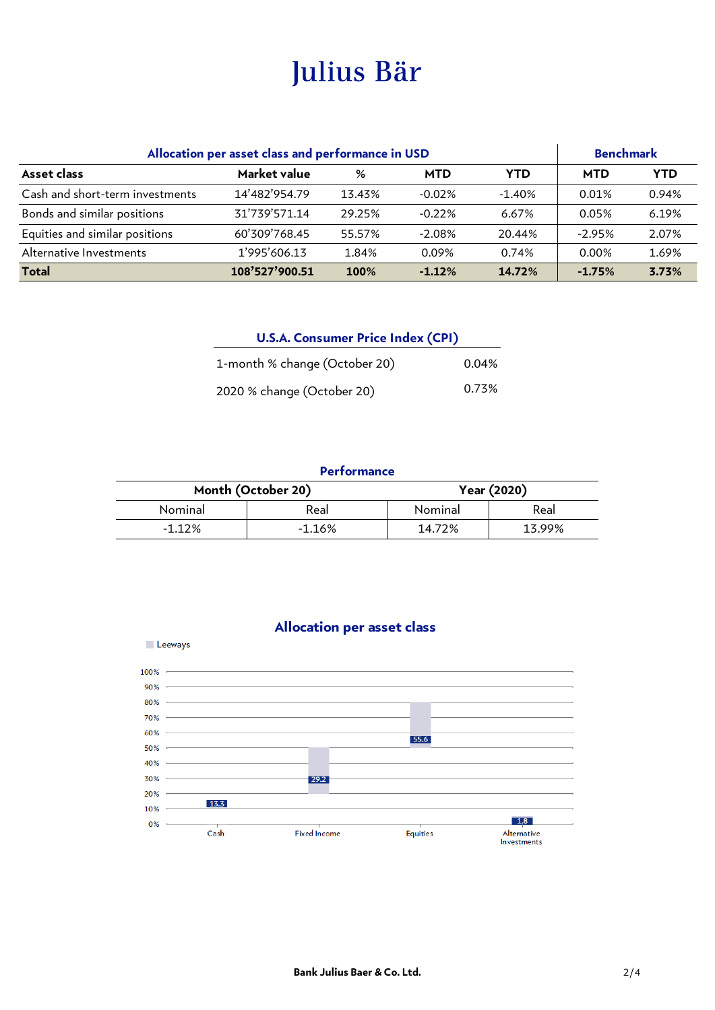| Market value<br><b>MTD</b><br>Asset class<br>$\%$<br><b>MTD</b><br><b>YTD</b><br>Cash and short-term investments<br>14'482'954.79<br>$-0.02%$<br>13.43%<br>$-1.40%$<br>0.01%<br>Bonds and similar positions<br>31'739'571.14<br>29.25%<br>$-0.22%$<br>6.67%<br>0.05%<br>Equities and similar positions<br>60'309'768.45<br>$-2.08%$<br>20.44%<br>55.57%<br>$-2.95%$<br>Alternative Investments<br>1'995'606.13<br>0.09%<br>0.74%<br>0.00%<br>1.84%<br>108'527'900.51<br><b>Total</b><br>$-1.12%$<br>14.72%<br>100%<br>$-1.75%$<br><b>U.S.A. Consumer Price Index (CPI)</b><br>1-month % change (October 20)<br>0.04%<br>0.73%<br>2020 % change (October 20)<br><b>Performance</b> | Allocation per asset class and performance in USD |  |  | <b>Benchmark</b>                  |  |            |
|-----------------------------------------------------------------------------------------------------------------------------------------------------------------------------------------------------------------------------------------------------------------------------------------------------------------------------------------------------------------------------------------------------------------------------------------------------------------------------------------------------------------------------------------------------------------------------------------------------------------------------------------------------------------------------------|---------------------------------------------------|--|--|-----------------------------------|--|------------|
|                                                                                                                                                                                                                                                                                                                                                                                                                                                                                                                                                                                                                                                                                   |                                                   |  |  |                                   |  | <b>YTD</b> |
|                                                                                                                                                                                                                                                                                                                                                                                                                                                                                                                                                                                                                                                                                   |                                                   |  |  |                                   |  | 0.94%      |
|                                                                                                                                                                                                                                                                                                                                                                                                                                                                                                                                                                                                                                                                                   |                                                   |  |  |                                   |  | 6.19%      |
|                                                                                                                                                                                                                                                                                                                                                                                                                                                                                                                                                                                                                                                                                   |                                                   |  |  |                                   |  | 2.07%      |
|                                                                                                                                                                                                                                                                                                                                                                                                                                                                                                                                                                                                                                                                                   |                                                   |  |  |                                   |  | 1.69%      |
|                                                                                                                                                                                                                                                                                                                                                                                                                                                                                                                                                                                                                                                                                   |                                                   |  |  |                                   |  | 3.73%      |
|                                                                                                                                                                                                                                                                                                                                                                                                                                                                                                                                                                                                                                                                                   |                                                   |  |  |                                   |  |            |
|                                                                                                                                                                                                                                                                                                                                                                                                                                                                                                                                                                                                                                                                                   |                                                   |  |  |                                   |  |            |
|                                                                                                                                                                                                                                                                                                                                                                                                                                                                                                                                                                                                                                                                                   | Month (October 20)                                |  |  | Year (2020)                       |  |            |
| Nominal<br>Real<br>Nominal<br>Real                                                                                                                                                                                                                                                                                                                                                                                                                                                                                                                                                                                                                                                |                                                   |  |  |                                   |  |            |
| $-1.12%$<br>$-1.16%$<br>14.72%<br>13.99%                                                                                                                                                                                                                                                                                                                                                                                                                                                                                                                                                                                                                                          |                                                   |  |  |                                   |  |            |
|                                                                                                                                                                                                                                                                                                                                                                                                                                                                                                                                                                                                                                                                                   |                                                   |  |  | <b>Allocation per asset class</b> |  |            |

| <b>U.S.A. Consumer Price Index (CPI)</b> |       |  |  |  |
|------------------------------------------|-------|--|--|--|
| 1-month % change (October 20)            | 0.04% |  |  |  |
| 2020 % change (October 20)               | 0.73% |  |  |  |

### **Performance**

|          | Month (October 20) |         | Year (2020) |  |
|----------|--------------------|---------|-------------|--|
| Nominal  | Real               | Nominal | Real        |  |
| $-1.12%$ | $-1.16%$           | 14.72%  | 13.99%      |  |



### **Bank Julius Baer & Co. Ltd.** 2/4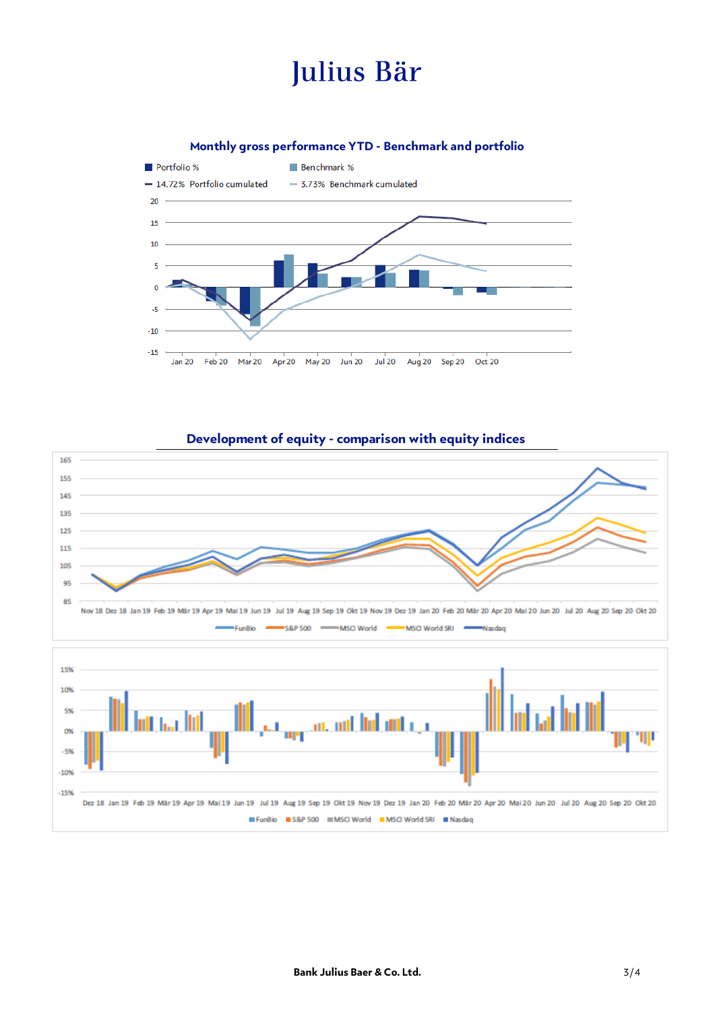**Monthly gross performance YTD - Benchmark and portfolio**



### **Development of equity - comparison with equity indices**